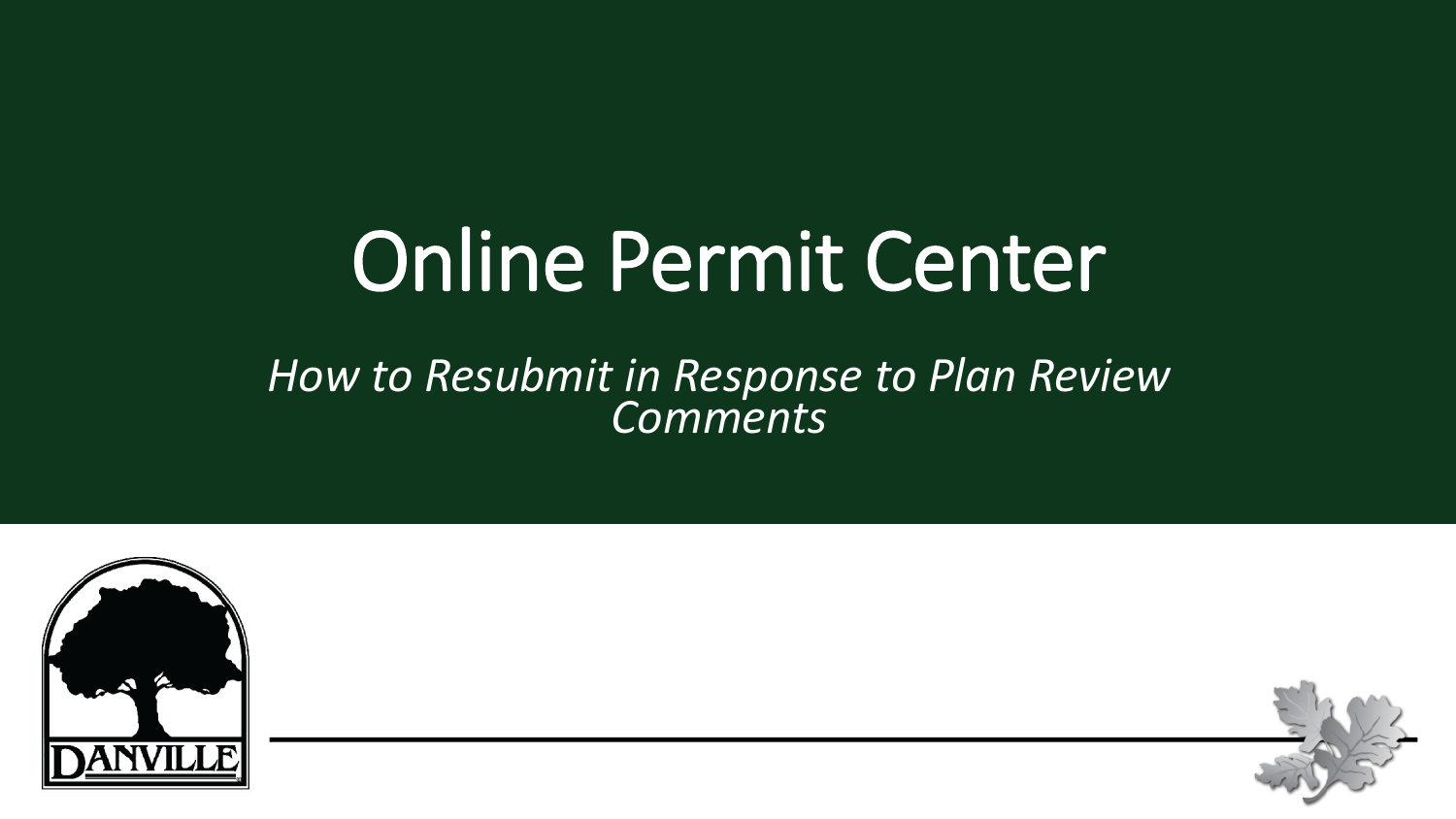# Online Permit Center

#### *How to Resubmit in Response to Plan Review Comments*



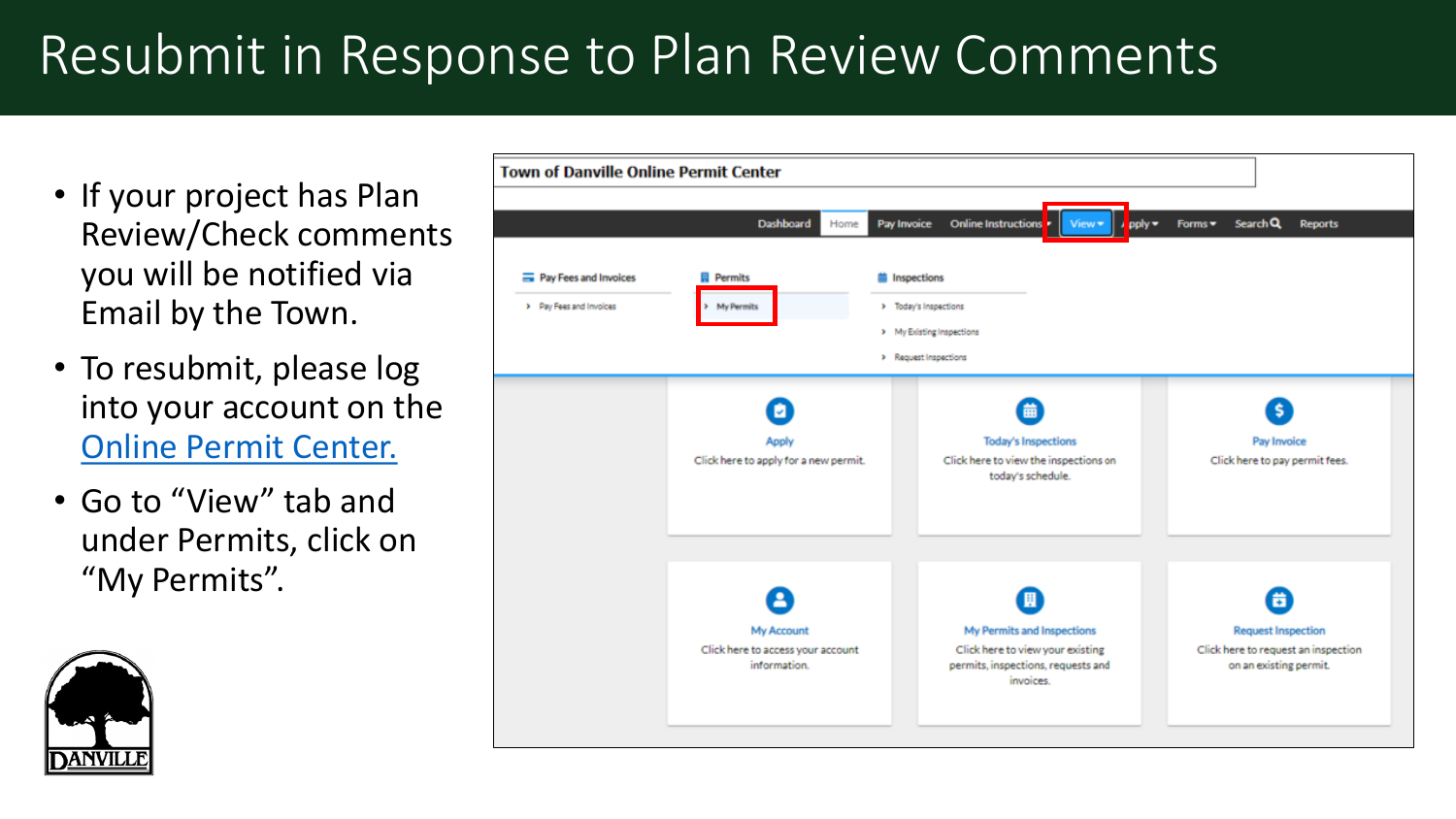- If your project has Plan Review/Check comments you will be notified via Email by the Town.
- To resubmit, please log into your account on the [Online Permit Center.](https://danvilleca-energovpub.tylerhost.net/Apps/SelfService#/home)
- Go to "View" tab and under Permits, click on "My Permits".



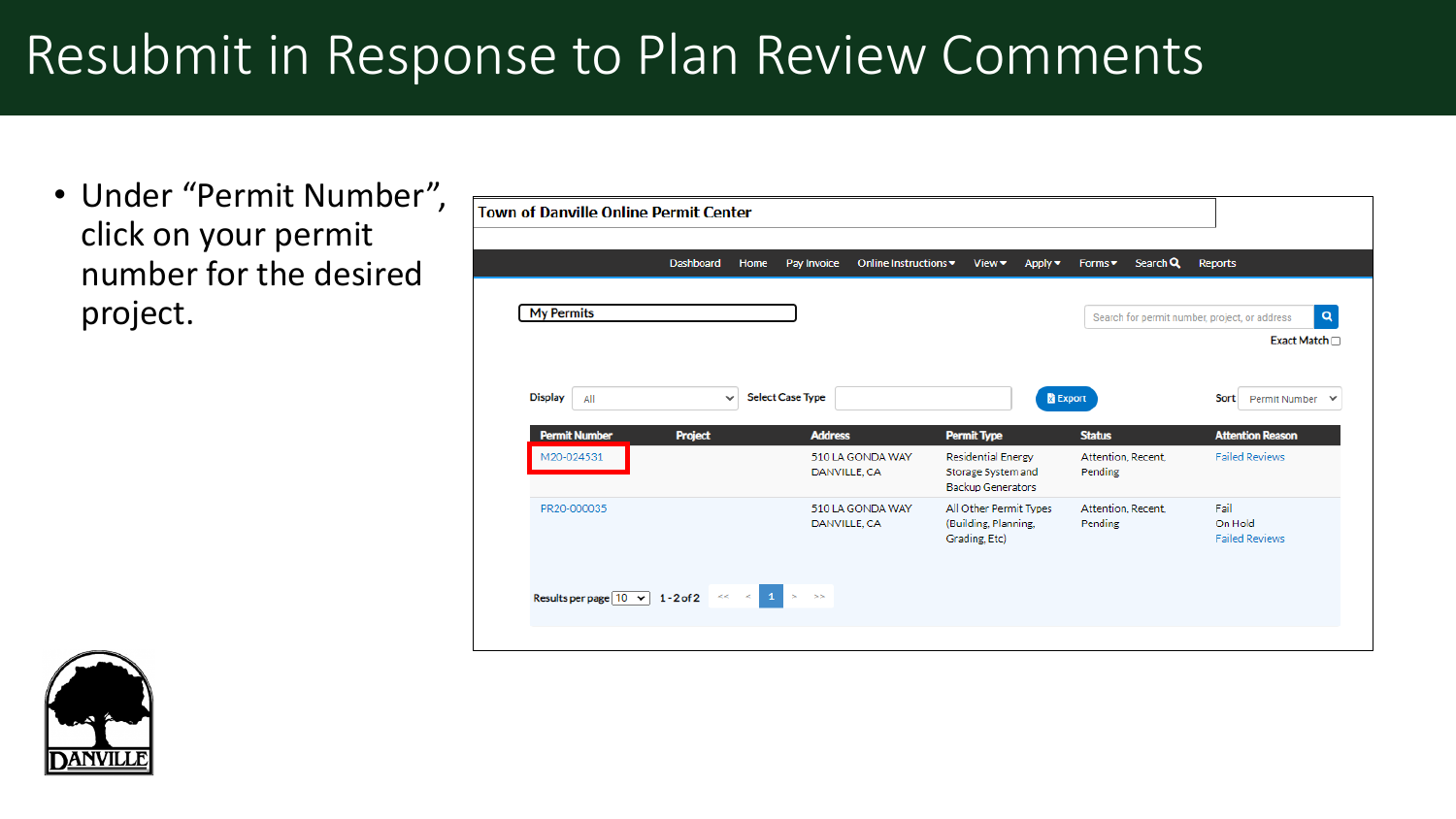• Under "Permit Number", click on your permit number for the desired project.



| <b>Town of Danville Online Permit Center</b>      |                |               |                         |                       |                                                                             |                               |          |                                                              |
|---------------------------------------------------|----------------|---------------|-------------------------|-----------------------|-----------------------------------------------------------------------------|-------------------------------|----------|--------------------------------------------------------------|
|                                                   | Dashboard      | Home          | Pay Invoice             | Online Instructions ▼ | View •<br>Apply $\blacktriangledown$                                        | Forms •                       | Search Q | <b>Reports</b>                                               |
| <b>My Permits</b>                                 |                |               |                         |                       |                                                                             |                               |          | Search for permit number, project, or address<br>Exact Match |
| <b>Display</b><br>All                             | $\checkmark$   |               | <b>Select Case Type</b> |                       |                                                                             | <b>B</b> Export               |          | Sort<br>Permit Number                                        |
| <b>Permit Number</b>                              | <b>Project</b> |               | <b>Address</b>          |                       | <b>Permit Type</b>                                                          | <b>Status</b>                 |          | <b>Attention Reason</b>                                      |
| M20-024531                                        |                |               | DANVILLE, CA            | 510 LA GONDA WAY      | <b>Residential Energy</b><br>Storage System and<br><b>Backup Generators</b> | Attention, Recent,<br>Pending |          | <b>Failed Reviews</b>                                        |
| PR20-000035                                       |                |               | DANVILLE, CA            | 510 LA GONDA WAY      | All Other Permit Types<br>(Building, Planning,<br>Grading, Etc)             | Attention, Recent,<br>Pending |          | Fail<br>On Hold<br><b>Failed Reviews</b>                     |
| Results per page $\boxed{10 \times 1}$ 1 - 2 of 2 |                | $\ll$ $\ll$ 1 | >                       |                       |                                                                             |                               |          |                                                              |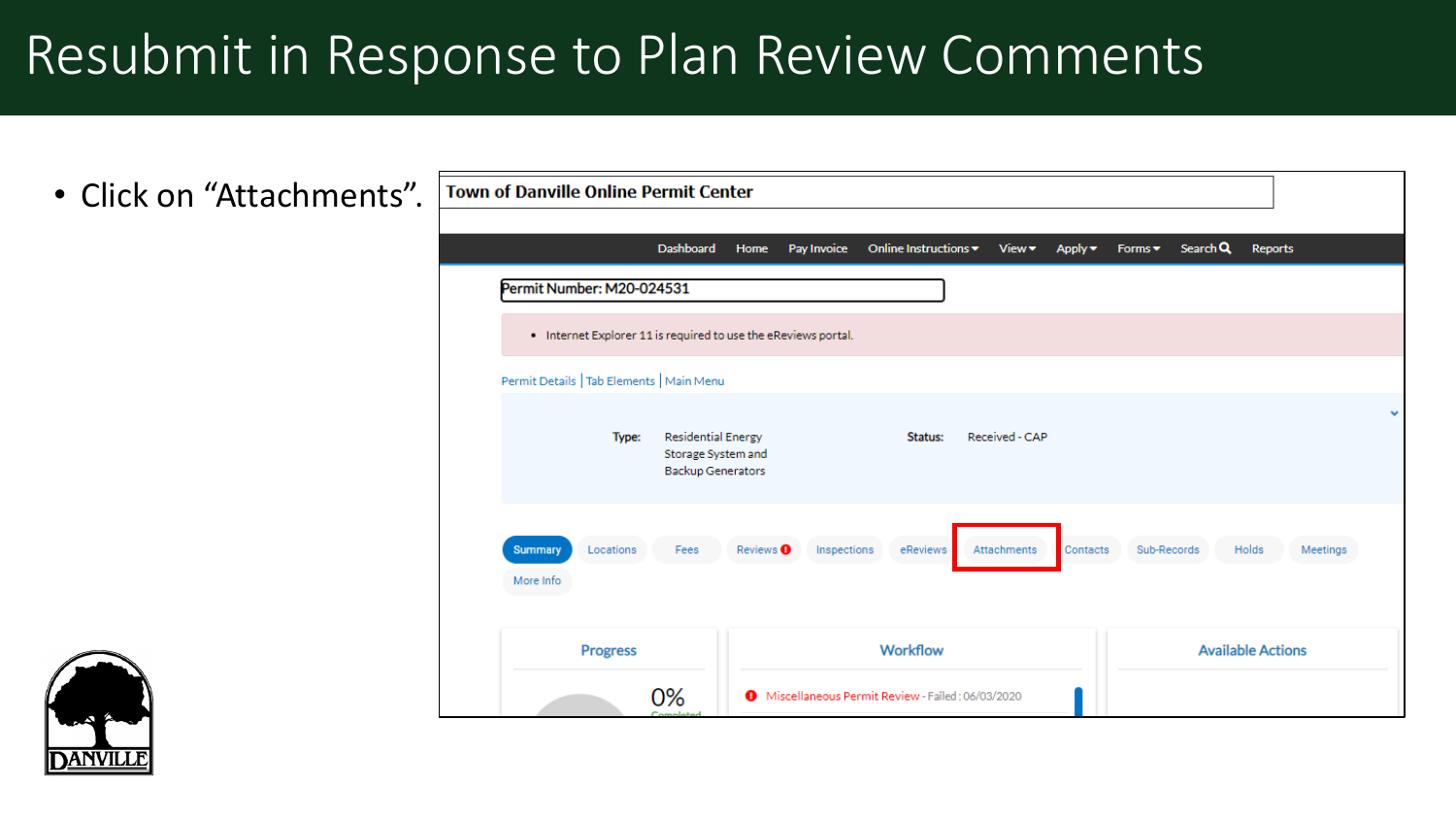• Click on "Attachments".



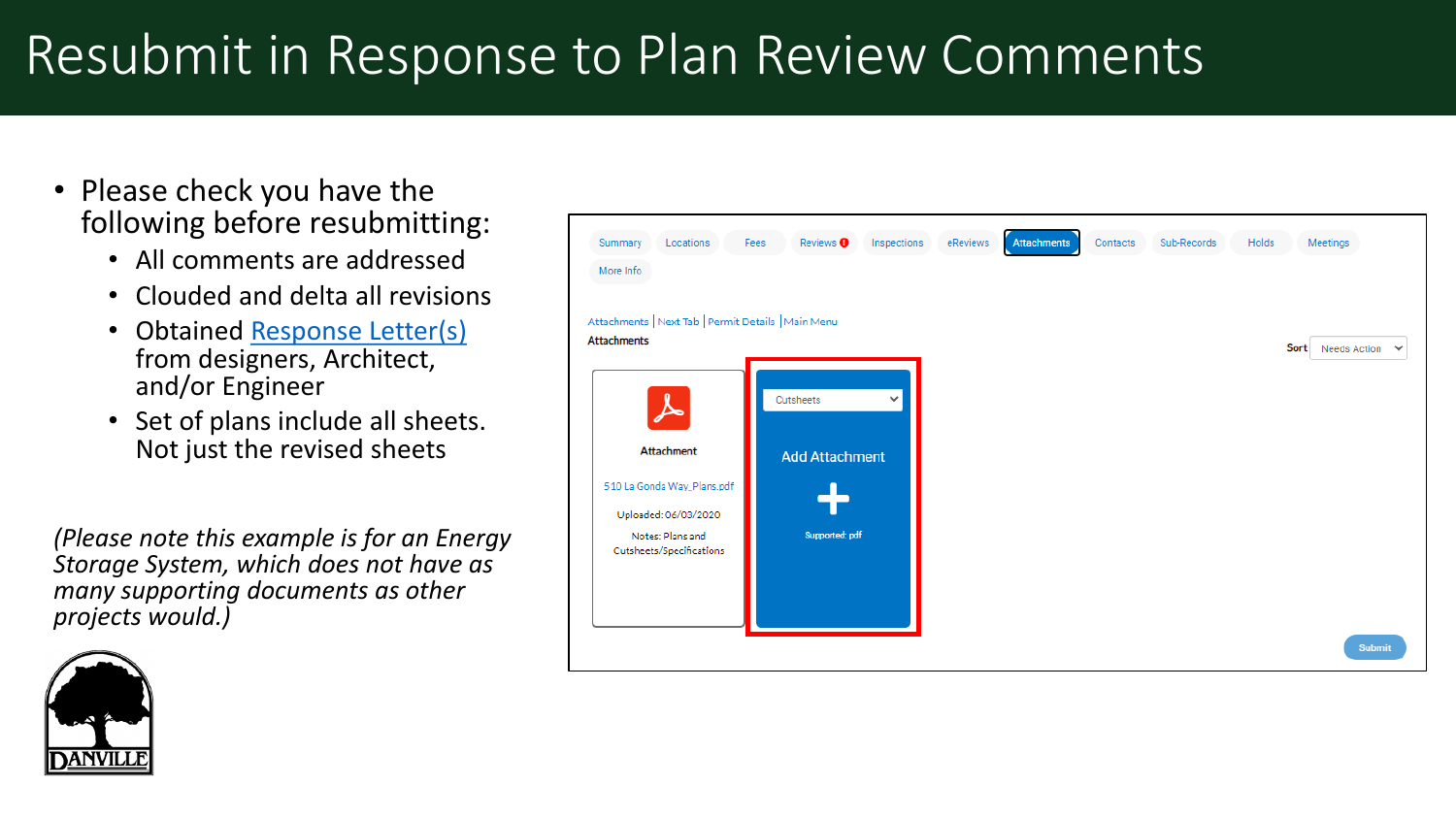- Please check you have the following before resubmitting:
	- All comments are addressed
	- Clouded and delta all revisions
	- Obtained [Response Letter\(s\)](https://www.danville.ca.gov/DocumentCenter/View/4352/Response-to-Comment-Letter-Guideline-PDF) from designers, Architect, and/or Engineer
	- Set of plans include all sheets. Not just the revised sheets

*(Please note this example is for an Energy Storage System, which does not have as many supporting documents as other projects would.)*



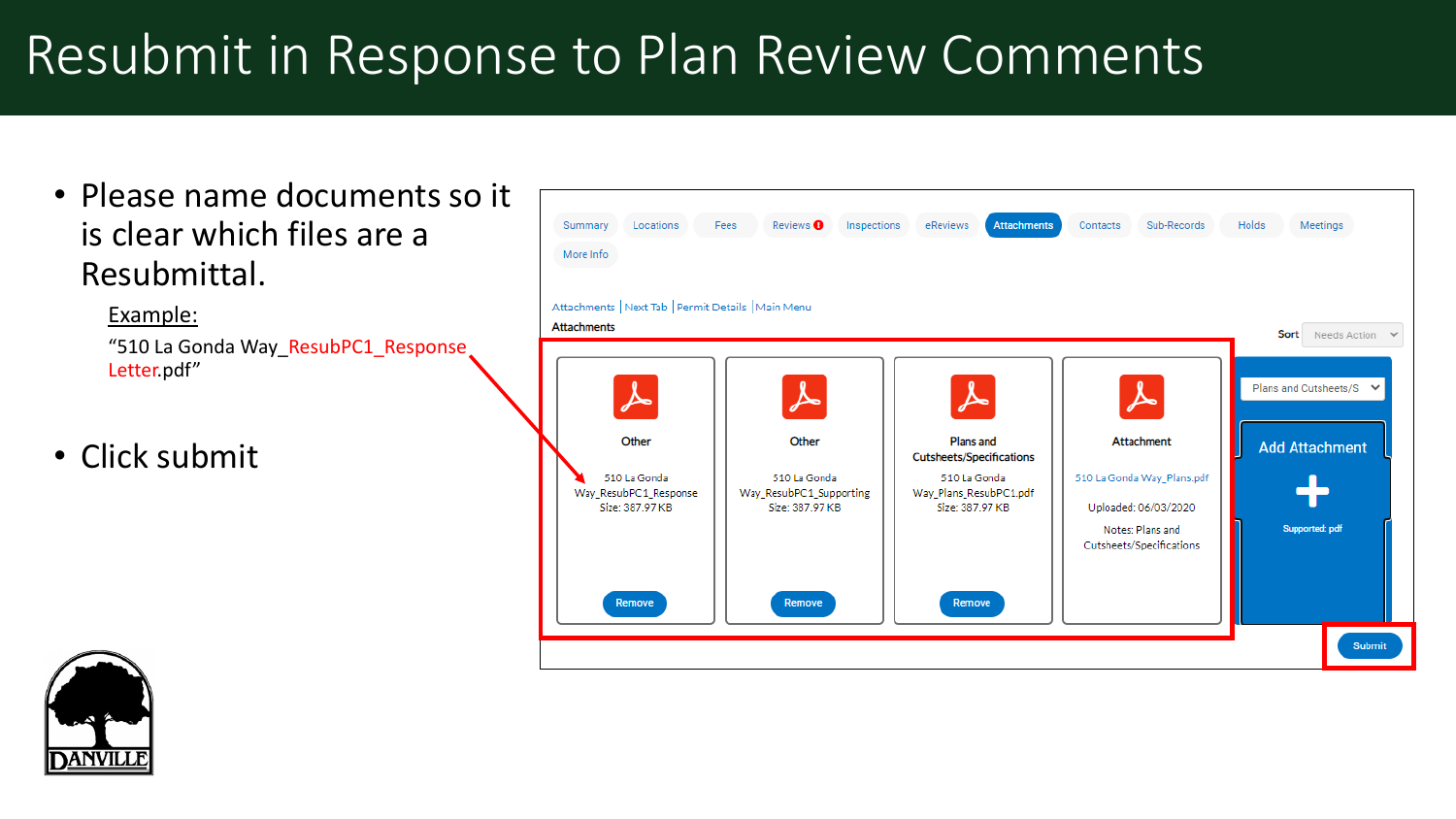• Please name documents so it is clear which files are a Resubmittal.

> Example: "510 La Gonda Way\_ResubPC1\_Response Letter.pdf"

• Click submit



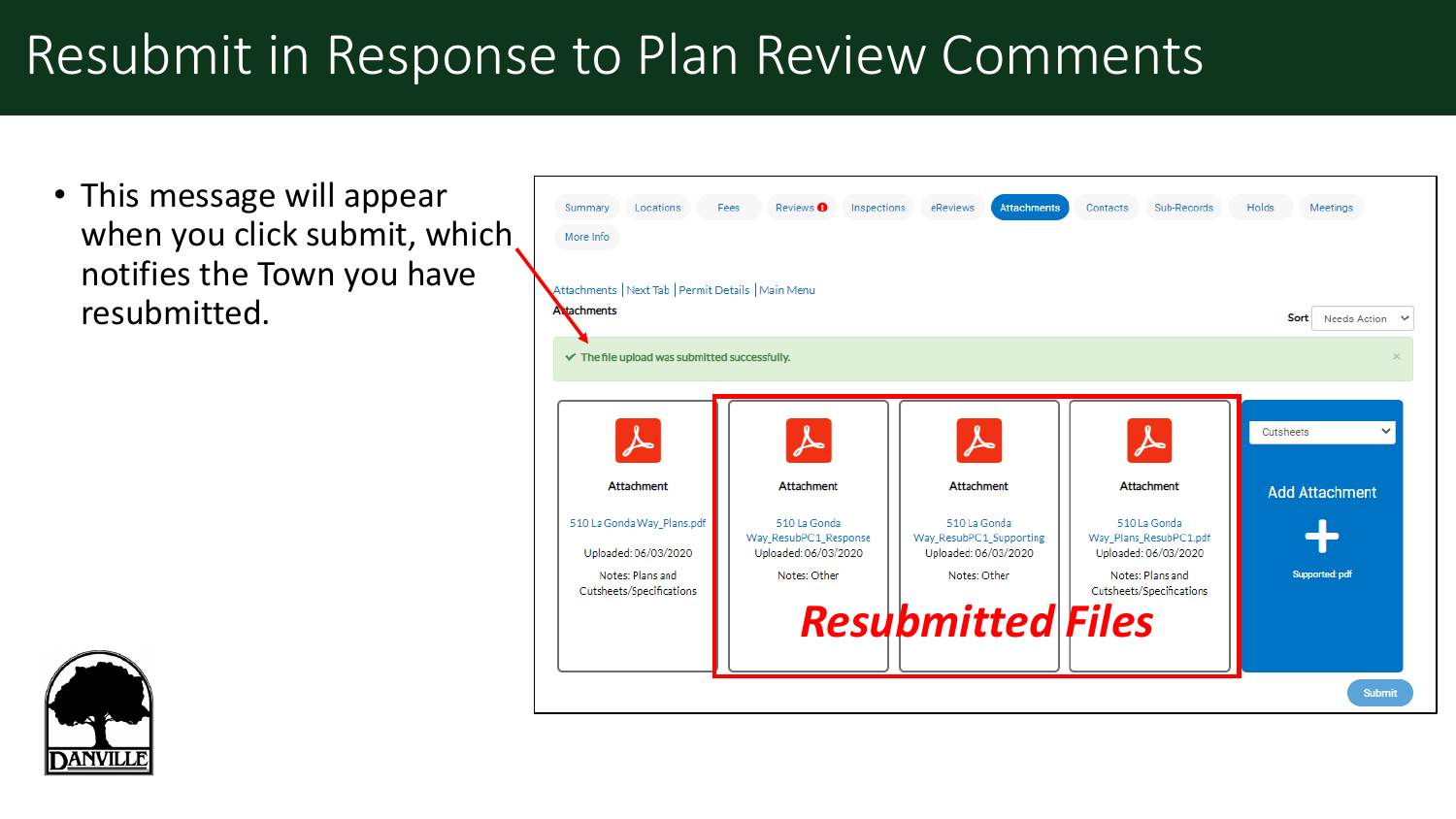• This message will appear when you click submit, which notifies the Town you have resubmitted.